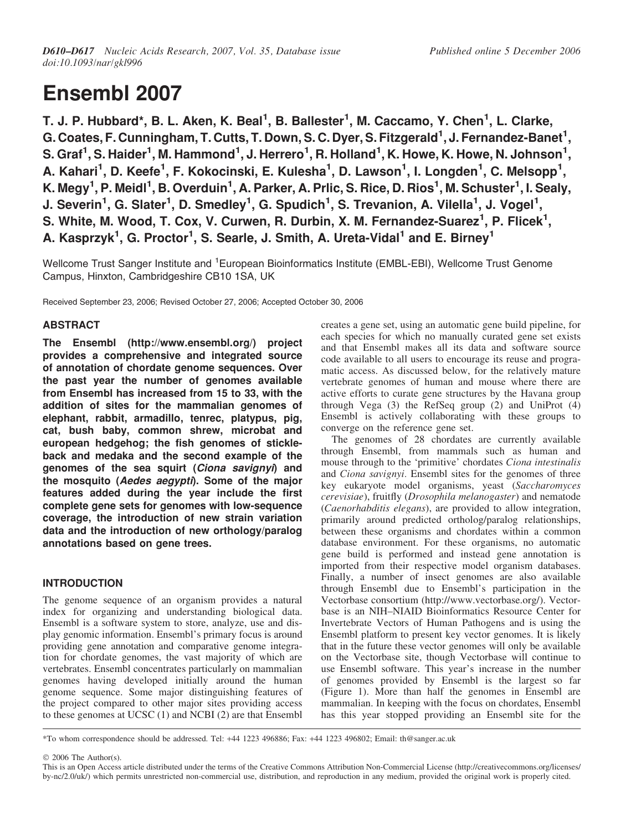# Ensembl 2007

T. J. P. Hubbard\*, B. L. Aken, K. Beal<sup>1</sup>, B. Ballester<sup>1</sup>, M. Caccamo, Y. Chen<sup>1</sup>, L. Clarke, G. Coates, F. Cunningham, T. Cutts, T. Down, S. C. Dyer, S. Fitzgerald<sup>1</sup>, J. Fernandez-Banet<sup>1</sup>, S. Graf<sup>1</sup>, S. Haider<sup>1</sup>, M. Hammond<sup>1</sup>, J. Herrero<sup>1</sup>, R. Holland<sup>1</sup>, K. Howe, K. Howe, N. Johnson<sup>1</sup>, A. Kahari<sup>1</sup>, D. Keefe<sup>1</sup>, F. Kokocinski, E. Kulesha<sup>1</sup>, D. Lawson<sup>1</sup>, I. Longden<sup>1</sup>, C. Melsopp<sup>1</sup>, K. Megy<sup>1</sup>, P. Meidl<sup>1</sup>, B. Overduin<sup>1</sup>, A. Parker, A. Prlic, S. Rice, D. Rios<sup>1</sup>, M. Schuster<sup>1</sup>, I. Sealy, J. Severin<sup>1</sup>, G. Slater<sup>1</sup>, D. Smedley<sup>1</sup>, G. Spudich<sup>1</sup>, S. Trevanion, A. Vilella<sup>1</sup>, J. Vogel<sup>1</sup>, S. White, M. Wood, T. Cox, V. Curwen, R. Durbin, X. M. Fernandez-Suarez<sup>1</sup>, P. Flicek<sup>1</sup>, A. Kasprzyk<sup>1</sup>, G. Proctor<sup>1</sup>, S. Searle, J. Smith, A. Ureta-Vidal<sup>1</sup> and E. Birney<sup>1</sup>

Wellcome Trust Sanger Institute and <sup>1</sup>European Bioinformatics Institute (EMBL-EBI), Wellcome Trust Genome Campus, Hinxton, Cambridgeshire CB10 1SA, UK

Received September 23, 2006; Revised October 27, 2006; Accepted October 30, 2006

# ABSTRACT

The Ensembl (http://www.ensembl.org/) project provides a comprehensive and integrated source of annotation of chordate genome sequences. Over the past year the number of genomes available from Ensembl has increased from 15 to 33, with the addition of sites for the mammalian genomes of elephant, rabbit, armadillo, tenrec, platypus, pig, cat, bush baby, common shrew, microbat and european hedgehog; the fish genomes of stickleback and medaka and the second example of the genomes of the sea squirt (Ciona savignyi) and the mosquito (Aedes aegypti). Some of the major features added during the year include the first complete gene sets for genomes with low-sequence coverage, the introduction of new strain variation data and the introduction of new orthology/paralog annotations based on gene trees.

# INTRODUCTION

The genome sequence of an organism provides a natural index for organizing and understanding biological data. Ensembl is a software system to store, analyze, use and display genomic information. Ensembl's primary focus is around providing gene annotation and comparative genome integration for chordate genomes, the vast majority of which are vertebrates. Ensembl concentrates particularly on mammalian genomes having developed initially around the human genome sequence. Some major distinguishing features of the project compared to other major sites providing access to these genomes at UCSC (1) and NCBI (2) are that Ensembl creates a gene set, using an automatic gene build pipeline, for each species for which no manually curated gene set exists and that Ensembl makes all its data and software source code available to all users to encourage its reuse and programatic access. As discussed below, for the relatively mature vertebrate genomes of human and mouse where there are active efforts to curate gene structures by the Havana group through Vega (3) the RefSeq group (2) and UniProt (4) Ensembl is actively collaborating with these groups to converge on the reference gene set.

The genomes of 28 chordates are currently available through Ensembl, from mammals such as human and mouse through to the 'primitive' chordates Ciona intestinalis and Ciona savignyi. Ensembl sites for the genomes of three key eukaryote model organisms, yeast (Saccharomyces cerevisiae), fruitfly (Drosophila melanogaster) and nematode (Caenorhabditis elegans), are provided to allow integration, primarily around predicted ortholog/paralog relationships, between these organisms and chordates within a common database environment. For these organisms, no automatic gene build is performed and instead gene annotation is imported from their respective model organism databases. Finally, a number of insect genomes are also available through Ensembl due to Ensembl's participation in the Vectorbase consortium (http://www.vectorbase.org/). Vectorbase is an NIH–NIAID Bioinformatics Resource Center for Invertebrate Vectors of Human Pathogens and is using the Ensembl platform to present key vector genomes. It is likely that in the future these vector genomes will only be available on the Vectorbase site, though Vectorbase will continue to use Ensembl software. This year's increase in the number of genomes provided by Ensembl is the largest so far (Figure 1). More than half the genomes in Ensembl are mammalian. In keeping with the focus on chordates, Ensembl has this year stopped providing an Ensembl site for the

\*To whom correspondence should be addressed. Tel: +44 1223 496886; Fax: +44 1223 496802; Email: th@sanger.ac.uk

2006 The Author(s).

This is an Open Access article distributed under the terms of the Creative Commons Attribution Non-Commercial License (http://creativecommons.org/licenses/ by-nc/2.0/uk/) which permits unrestricted non-commercial use, distribution, and reproduction in any medium, provided the original work is properly cited.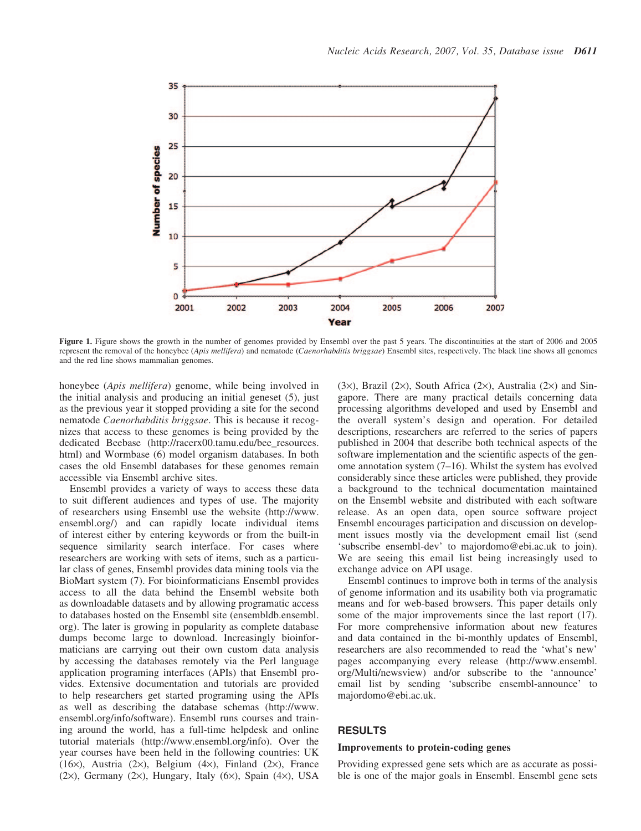

Figure 1. Figure shows the growth in the number of genomes provided by Ensembl over the past 5 years. The discontinuities at the start of 2006 and 2005 represent the removal of the honeybee (Apis mellifera) and nematode (Caenorhabditis briggsae) Ensembl sites, respectively. The black line shows all genomes and the red line shows mammalian genomes.

honeybee (*Apis mellifera*) genome, while being involved in the initial analysis and producing an initial geneset (5), just as the previous year it stopped providing a site for the second nematode Caenorhabditis briggsae. This is because it recognizes that access to these genomes is being provided by the dedicated Beebase (http://racerx00.tamu.edu/bee\_resources. html) and Wormbase (6) model organism databases. In both cases the old Ensembl databases for these genomes remain accessible via Ensembl archive sites.

Ensembl provides a variety of ways to access these data to suit different audiences and types of use. The majority of researchers using Ensembl use the website (http://www. ensembl.org/) and can rapidly locate individual items of interest either by entering keywords or from the built-in sequence similarity search interface. For cases where researchers are working with sets of items, such as a particular class of genes, Ensembl provides data mining tools via the BioMart system (7). For bioinformaticians Ensembl provides access to all the data behind the Ensembl website both as downloadable datasets and by allowing programatic access to databases hosted on the Ensembl site (ensembldb.ensembl. org). The later is growing in popularity as complete database dumps become large to download. Increasingly bioinformaticians are carrying out their own custom data analysis by accessing the databases remotely via the Perl language application programing interfaces (APIs) that Ensembl provides. Extensive documentation and tutorials are provided to help researchers get started programing using the APIs as well as describing the database schemas (http://www. ensembl.org/info/software). Ensembl runs courses and training around the world, has a full-time helpdesk and online tutorial materials (http://www.ensembl.org/info). Over the year courses have been held in the following countries: UK (16 $\times$ ), Austria (2 $\times$ ), Belgium (4 $\times$ ), Finland (2 $\times$ ), France (2×), Germany (2×), Hungary, Italy (6×), Spain (4×), USA

(3 $\times$ ), Brazil (2 $\times$ ), South Africa (2 $\times$ ), Australia (2 $\times$ ) and Singapore. There are many practical details concerning data processing algorithms developed and used by Ensembl and the overall system's design and operation. For detailed descriptions, researchers are referred to the series of papers published in 2004 that describe both technical aspects of the software implementation and the scientific aspects of the genome annotation system (7–16). Whilst the system has evolved considerably since these articles were published, they provide a background to the technical documentation maintained on the Ensembl website and distributed with each software release. As an open data, open source software project Ensembl encourages participation and discussion on development issues mostly via the development email list (send 'subscribe ensembl-dev' to majordomo@ebi.ac.uk to join). We are seeing this email list being increasingly used to exchange advice on API usage.

Ensembl continues to improve both in terms of the analysis of genome information and its usability both via programatic means and for web-based browsers. This paper details only some of the major improvements since the last report (17). For more comprehensive information about new features and data contained in the bi-monthly updates of Ensembl, researchers are also recommended to read the 'what's new' pages accompanying every release (http://www.ensembl. org/Multi/newsview) and/or subscribe to the 'announce' email list by sending 'subscribe ensembl-announce' to majordomo@ebi.ac.uk.

### RESULTS

#### Improvements to protein-coding genes

Providing expressed gene sets which are as accurate as possible is one of the major goals in Ensembl. Ensembl gene sets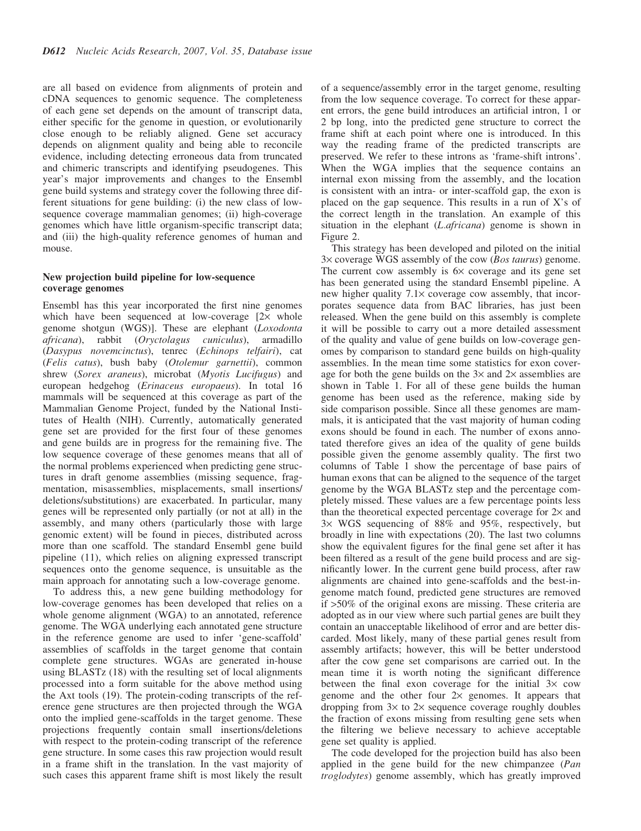are all based on evidence from alignments of protein and cDNA sequences to genomic sequence. The completeness of each gene set depends on the amount of transcript data, either specific for the genome in question, or evolutionarily close enough to be reliably aligned. Gene set accuracy depends on alignment quality and being able to reconcile evidence, including detecting erroneous data from truncated and chimeric transcripts and identifying pseudogenes. This year's major improvements and changes to the Ensembl gene build systems and strategy cover the following three different situations for gene building: (i) the new class of lowsequence coverage mammalian genomes; (ii) high-coverage genomes which have little organism-specific transcript data; and (iii) the high-quality reference genomes of human and mouse.

# New projection build pipeline for low-sequence coverage genomes

Ensembl has this year incorporated the first nine genomes which have been sequenced at low-coverage  $[2 \times$  whole genome shotgun (WGS)]. These are elephant (Loxodonta africana), rabbit (Oryctolagus cuniculus), armadillo (Dasypus novemcinctus), tenrec (Echinops telfairi), cat (Felis catus), bush baby (Otolemur garnettii), common shrew (Sorex araneus), microbat (Myotis Lucifugus) and european hedgehog (Erinaceus europaeus). In total 16 mammals will be sequenced at this coverage as part of the Mammalian Genome Project, funded by the National Institutes of Health (NIH). Currently, automatically generated gene set are provided for the first four of these genomes and gene builds are in progress for the remaining five. The low sequence coverage of these genomes means that all of the normal problems experienced when predicting gene structures in draft genome assemblies (missing sequence, fragmentation, misassemblies, misplacements, small insertions/ deletions/substitutions) are exacerbated. In particular, many genes will be represented only partially (or not at all) in the assembly, and many others (particularly those with large genomic extent) will be found in pieces, distributed across more than one scaffold. The standard Ensembl gene build pipeline (11), which relies on aligning expressed transcript sequences onto the genome sequence, is unsuitable as the main approach for annotating such a low-coverage genome.

To address this, a new gene building methodology for low-coverage genomes has been developed that relies on a whole genome alignment (WGA) to an annotated, reference genome. The WGA underlying each annotated gene structure in the reference genome are used to infer 'gene-scaffold' assemblies of scaffolds in the target genome that contain complete gene structures. WGAs are generated in-house using BLASTz (18) with the resulting set of local alignments processed into a form suitable for the above method using the Axt tools (19). The protein-coding transcripts of the reference gene structures are then projected through the WGA onto the implied gene-scaffolds in the target genome. These projections frequently contain small insertions/deletions with respect to the protein-coding transcript of the reference gene structure. In some cases this raw projection would result in a frame shift in the translation. In the vast majority of such cases this apparent frame shift is most likely the result

of a sequence/assembly error in the target genome, resulting from the low sequence coverage. To correct for these apparent errors, the gene build introduces an artificial intron, 1 or 2 bp long, into the predicted gene structure to correct the frame shift at each point where one is introduced. In this way the reading frame of the predicted transcripts are preserved. We refer to these introns as 'frame-shift introns'. When the WGA implies that the sequence contains an internal exon missing from the assembly, and the location is consistent with an intra- or inter-scaffold gap, the exon is placed on the gap sequence. This results in a run of X's of the correct length in the translation. An example of this situation in the elephant (L.africana) genome is shown in Figure 2.

This strategy has been developed and piloted on the initial  $3\times$  coverage WGS assembly of the cow (*Bos taurus*) genome. The current cow assembly is  $6 \times$  coverage and its gene set has been generated using the standard Ensembl pipeline. A new higher quality  $7.1 \times$  coverage cow assembly, that incorporates sequence data from BAC libraries, has just been released. When the gene build on this assembly is complete it will be possible to carry out a more detailed assessment of the quality and value of gene builds on low-coverage genomes by comparison to standard gene builds on high-quality assemblies. In the mean time some statistics for exon coverage for both the gene builds on the  $3\times$  and  $2\times$  assemblies are shown in Table 1. For all of these gene builds the human genome has been used as the reference, making side by side comparison possible. Since all these genomes are mammals, it is anticipated that the vast majority of human coding exons should be found in each. The number of exons annotated therefore gives an idea of the quality of gene builds possible given the genome assembly quality. The first two columns of Table 1 show the percentage of base pairs of human exons that can be aligned to the sequence of the target genome by the WGA BLASTz step and the percentage completely missed. These values are a few percentage points less than the theoretical expected percentage coverage for  $2\times$  and  $3\times$  WGS sequencing of 88% and 95%, respectively, but broadly in line with expectations (20). The last two columns show the equivalent figures for the final gene set after it has been filtered as a result of the gene build process and are significantly lower. In the current gene build process, after raw alignments are chained into gene-scaffolds and the best-ingenome match found, predicted gene structures are removed if >50% of the original exons are missing. These criteria are adopted as in our view where such partial genes are built they contain an unacceptable likelihood of error and are better discarded. Most likely, many of these partial genes result from assembly artifacts; however, this will be better understood after the cow gene set comparisons are carried out. In the mean time it is worth noting the significant difference between the final exon coverage for the initial  $3 \times$  cow genome and the other four  $2x$  genomes. It appears that dropping from  $3\times$  to  $2\times$  sequence coverage roughly doubles the fraction of exons missing from resulting gene sets when the filtering we believe necessary to achieve acceptable gene set quality is applied.

The code developed for the projection build has also been applied in the gene build for the new chimpanzee (Pan troglodytes) genome assembly, which has greatly improved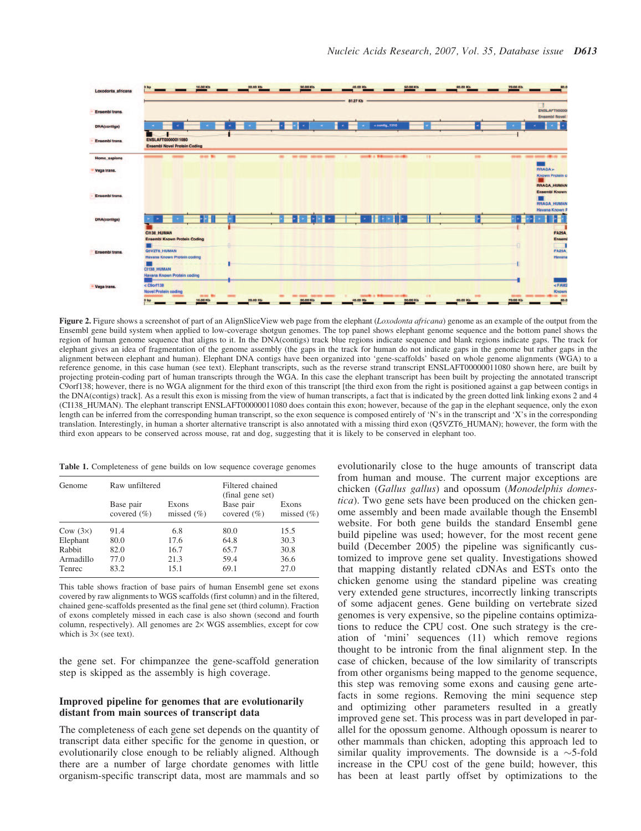

Figure 2. Figure shows a screenshot of part of an AlignSliceView web page from the elephant (Loxodonta africana) genome as an example of the output from the Ensembl gene build system when applied to low-coverage shotgun genomes. The top panel shows elephant genome sequence and the bottom panel shows the region of human genome sequence that aligns to it. In the DNA(contigs) track blue regions indicate sequence and blank regions indicate gaps. The track for elephant gives an idea of fragmentation of the genome assembly (the gaps in the track for human do not indicate gaps in the genome but rather gaps in the alignment between elephant and human). Elephant DNA contigs have been organized into 'gene-scaffolds' based on whole genome alignments (WGA) to a reference genome, in this case human (see text). Elephant transcripts, such as the reverse strand transcript ENSLAFT00000011080 shown here, are built by projecting protein-coding part of human transcripts through the WGA. In this case the elephant transcript has been built by projecting the annotated transcript C9orf138; however, there is no WGA alignment for the third exon of this transcript [the third exon from the right is positioned against a gap between contigs in the DNA(contigs) track]. As a result this exon is missing from the view of human transcripts, a fact that is indicated by the green dotted link linking exons 2 and 4 (CI138\_HUMAN). The elephant transcript ENSLAFT00000011080 does contain this exon; however, because of the gap in the elephant sequence, only the exon length can be inferred from the corresponding human transcript, so the exon sequence is composed entirely of 'N's in the transcript and 'X's in the corresponding translation. Interestingly, in human a shorter alternative transcript is also annotated with a missing third exon (O5VZT6\_HUMAN); however, the form with the third exon appears to be conserved across mouse, rat and dog, suggesting that it is likely to be conserved in elephant too.

Table 1. Completeness of gene builds on low sequence coverage genomes

| Genome          | Raw unfiltered               |                         | Filtered chained<br>(final gene set) |                         |
|-----------------|------------------------------|-------------------------|--------------------------------------|-------------------------|
|                 | Base pair<br>covered $(\% )$ | Exons<br>missed $(\% )$ | Base pair<br>covered (%)             | Exons<br>missed $(\% )$ |
| Cow $(3\times)$ | 91.4                         | 6.8                     | 80.0                                 | 15.5                    |
| Elephant        | 80.0                         | 17.6                    | 64.8                                 | 30.3                    |
| Rabbit          | 82.0                         | 16.7                    | 65.7                                 | 30.8                    |
| Armadillo       | 77.0                         | 21.3                    | 59.4                                 | 36.6                    |
| Tenrec          | 83.2                         | 15.1                    | 69.1                                 | 27.0                    |

This table shows fraction of base pairs of human Ensembl gene set exons covered by raw alignments to WGS scaffolds (first column) and in the filtered, chained gene-scaffolds presented as the final gene set (third column). Fraction of exons completely missed in each case is also shown (second and fourth column, respectively). All genomes are  $2 \times WGS$  assemblies, except for cow which is  $3 \times$  (see text).

the gene set. For chimpanzee the gene-scaffold generation step is skipped as the assembly is high coverage.

### Improved pipeline for genomes that are evolutionarily distant from main sources of transcript data

The completeness of each gene set depends on the quantity of transcript data either specific for the genome in question, or evolutionarily close enough to be reliably aligned. Although there are a number of large chordate genomes with little organism-specific transcript data, most are mammals and so evolutionarily close to the huge amounts of transcript data from human and mouse. The current major exceptions are chicken (Gallus gallus) and opossum (Monodelphis domestica). Two gene sets have been produced on the chicken genome assembly and been made available though the Ensembl website. For both gene builds the standard Ensembl gene build pipeline was used; however, for the most recent gene build (December 2005) the pipeline was significantly customized to improve gene set quality. Investigations showed that mapping distantly related cDNAs and ESTs onto the chicken genome using the standard pipeline was creating very extended gene structures, incorrectly linking transcripts of some adjacent genes. Gene building on vertebrate sized genomes is very expensive, so the pipeline contains optimizations to reduce the CPU cost. One such strategy is the creation of 'mini' sequences (11) which remove regions thought to be intronic from the final alignment step. In the case of chicken, because of the low similarity of transcripts from other organisms being mapped to the genome sequence, this step was removing some exons and causing gene artefacts in some regions. Removing the mini sequence step and optimizing other parameters resulted in a greatly improved gene set. This process was in part developed in parallel for the opossum genome. Although opossum is nearer to other mammals than chicken, adopting this approach led to similar quality improvements. The downside is a  $\sim$ 5-fold increase in the CPU cost of the gene build; however, this has been at least partly offset by optimizations to the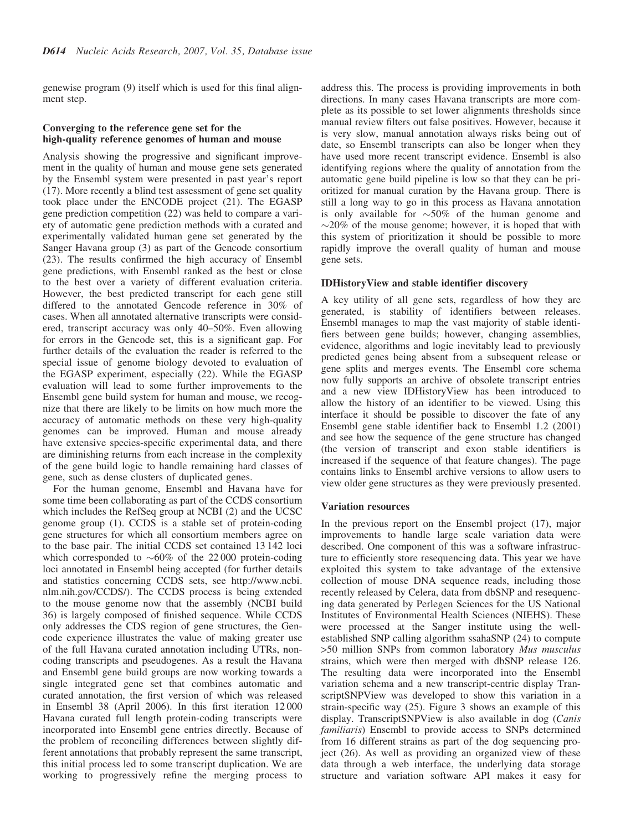genewise program (9) itself which is used for this final alignment step.

# Converging to the reference gene set for the high-quality reference genomes of human and mouse

Analysis showing the progressive and significant improvement in the quality of human and mouse gene sets generated by the Ensembl system were presented in past year's report (17). More recently a blind test assessment of gene set quality took place under the ENCODE project (21). The EGASP gene prediction competition (22) was held to compare a variety of automatic gene prediction methods with a curated and experimentally validated human gene set generated by the Sanger Havana group (3) as part of the Gencode consortium (23). The results confirmed the high accuracy of Ensembl gene predictions, with Ensembl ranked as the best or close to the best over a variety of different evaluation criteria. However, the best predicted transcript for each gene still differed to the annotated Gencode reference in 30% of cases. When all annotated alternative transcripts were considered, transcript accuracy was only 40–50%. Even allowing for errors in the Gencode set, this is a significant gap. For further details of the evaluation the reader is referred to the special issue of genome biology devoted to evaluation of the EGASP experiment, especially (22). While the EGASP evaluation will lead to some further improvements to the Ensembl gene build system for human and mouse, we recognize that there are likely to be limits on how much more the accuracy of automatic methods on these very high-quality genomes can be improved. Human and mouse already have extensive species-specific experimental data, and there are diminishing returns from each increase in the complexity of the gene build logic to handle remaining hard classes of gene, such as dense clusters of duplicated genes.

For the human genome, Ensembl and Havana have for some time been collaborating as part of the CCDS consortium which includes the RefSeq group at NCBI (2) and the UCSC genome group (1). CCDS is a stable set of protein-coding gene structures for which all consortium members agree on to the base pair. The initial CCDS set contained 13 142 loci which corresponded to  $~60\%$  of the 22000 protein-coding loci annotated in Ensembl being accepted (for further details and statistics concerning CCDS sets, see http://www.ncbi. nlm.nih.gov/CCDS/). The CCDS process is being extended to the mouse genome now that the assembly (NCBI build 36) is largely composed of finished sequence. While CCDS only addresses the CDS region of gene structures, the Gencode experience illustrates the value of making greater use of the full Havana curated annotation including UTRs, noncoding transcripts and pseudogenes. As a result the Havana and Ensembl gene build groups are now working towards a single integrated gene set that combines automatic and curated annotation, the first version of which was released in Ensembl 38 (April 2006). In this first iteration 12 000 Havana curated full length protein-coding transcripts were incorporated into Ensembl gene entries directly. Because of the problem of reconciling differences between slightly different annotations that probably represent the same transcript, this initial process led to some transcript duplication. We are working to progressively refine the merging process to address this. The process is providing improvements in both directions. In many cases Havana transcripts are more complete as its possible to set lower alignments thresholds since manual review filters out false positives. However, because it is very slow, manual annotation always risks being out of date, so Ensembl transcripts can also be longer when they have used more recent transcript evidence. Ensembl is also identifying regions where the quality of annotation from the automatic gene build pipeline is low so that they can be prioritized for manual curation by the Havana group. There is still a long way to go in this process as Havana annotation is only available for  $\sim 50\%$  of the human genome and  $\sim$ 20% of the mouse genome; however, it is hoped that with this system of prioritization it should be possible to more rapidly improve the overall quality of human and mouse gene sets.

## IDHistoryView and stable identifier discovery

A key utility of all gene sets, regardless of how they are generated, is stability of identifiers between releases. Ensembl manages to map the vast majority of stable identifiers between gene builds; however, changing assemblies, evidence, algorithms and logic inevitably lead to previously predicted genes being absent from a subsequent release or gene splits and merges events. The Ensembl core schema now fully supports an archive of obsolete transcript entries and a new view IDHistoryView has been introduced to allow the history of an identifier to be viewed. Using this interface it should be possible to discover the fate of any Ensembl gene stable identifier back to Ensembl 1.2 (2001) and see how the sequence of the gene structure has changed (the version of transcript and exon stable identifiers is increased if the sequence of that feature changes). The page contains links to Ensembl archive versions to allow users to view older gene structures as they were previously presented.

#### Variation resources

In the previous report on the Ensembl project (17), major improvements to handle large scale variation data were described. One component of this was a software infrastructure to efficiently store resequencing data. This year we have exploited this system to take advantage of the extensive collection of mouse DNA sequence reads, including those recently released by Celera, data from dbSNP and resequencing data generated by Perlegen Sciences for the US National Institutes of Environmental Health Sciences (NIEHS). These were processed at the Sanger institute using the wellestablished SNP calling algorithm ssahaSNP (24) to compute >50 million SNPs from common laboratory Mus musculus strains, which were then merged with dbSNP release 126. The resulting data were incorporated into the Ensembl variation schema and a new transcript-centric display TranscriptSNPView was developed to show this variation in a strain-specific way (25). Figure 3 shows an example of this display. TranscriptSNPView is also available in dog (Canis familiaris) Ensembl to provide access to SNPs determined from 16 different strains as part of the dog sequencing project (26). As well as providing an organized view of these data through a web interface, the underlying data storage structure and variation software API makes it easy for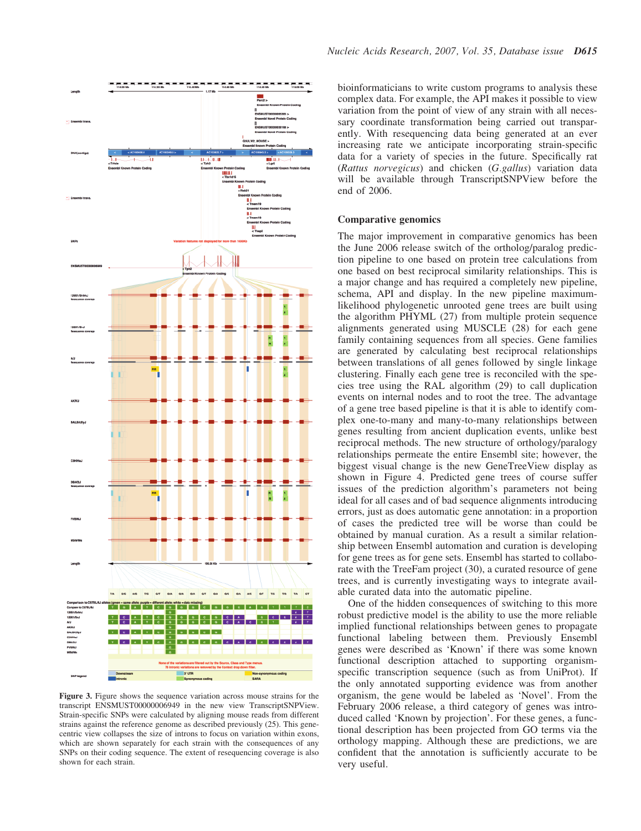![](_page_5_Figure_0.jpeg)

Figure 3. Figure shows the sequence variation across mouse strains for the transcript ENSMUST00000006949 in the new view TranscriptSNPView. Strain-specific SNPs were calculated by aligning mouse reads from different strains against the reference genome as described previously (25). This genecentric view collapses the size of introns to focus on variation within exons, which are shown separately for each strain with the consequences of any SNPs on their coding sequence. The extent of resequencing coverage is also shown for each strain.

bioinformaticians to write custom programs to analysis these complex data. For example, the API makes it possible to view variation from the point of view of any strain with all necessary coordinate transformation being carried out transparently. With resequencing data being generated at an ever increasing rate we anticipate incorporating strain-specific data for a variety of species in the future. Specifically rat (Rattus norvegicus) and chicken (G.gallus) variation data will be available through TranscriptSNPView before the end of 2006.

#### Comparative genomics

The major improvement in comparative genomics has been the June 2006 release switch of the ortholog/paralog prediction pipeline to one based on protein tree calculations from one based on best reciprocal similarity relationships. This is a major change and has required a completely new pipeline, schema, API and display. In the new pipeline maximumlikelihood phylogenetic unrooted gene trees are built using the algorithm PHYML (27) from multiple protein sequence alignments generated using MUSCLE (28) for each gene family containing sequences from all species. Gene families are generated by calculating best reciprocal relationships between translations of all genes followed by single linkage clustering. Finally each gene tree is reconciled with the species tree using the RAL algorithm (29) to call duplication events on internal nodes and to root the tree. The advantage of a gene tree based pipeline is that it is able to identify complex one-to-many and many-to-many relationships between genes resulting from ancient duplication events, unlike best reciprocal methods. The new structure of orthology/paralogy relationships permeate the entire Ensembl site; however, the biggest visual change is the new GeneTreeView display as shown in Figure 4. Predicted gene trees of course suffer issues of the prediction algorithm's parameters not being ideal for all cases and of bad sequence alignments introducing errors, just as does automatic gene annotation: in a proportion of cases the predicted tree will be worse than could be obtained by manual curation. As a result a similar relationship between Ensembl automation and curation is developing for gene trees as for gene sets. Ensembl has started to collaborate with the TreeFam project (30), a curated resource of gene trees, and is currently investigating ways to integrate available curated data into the automatic pipeline.

One of the hidden consequences of switching to this more robust predictive model is the ability to use the more reliable implied functional relationships between genes to propagate functional labeling between them. Previously Ensembl genes were described as 'Known' if there was some known functional description attached to supporting organismspecific transcription sequence (such as from UniProt). If the only annotated supporting evidence was from another organism, the gene would be labeled as 'Novel'. From the February 2006 release, a third category of genes was introduced called 'Known by projection'. For these genes, a functional description has been projected from GO terms via the orthology mapping. Although these are predictions, we are confident that the annotation is sufficiently accurate to be very useful.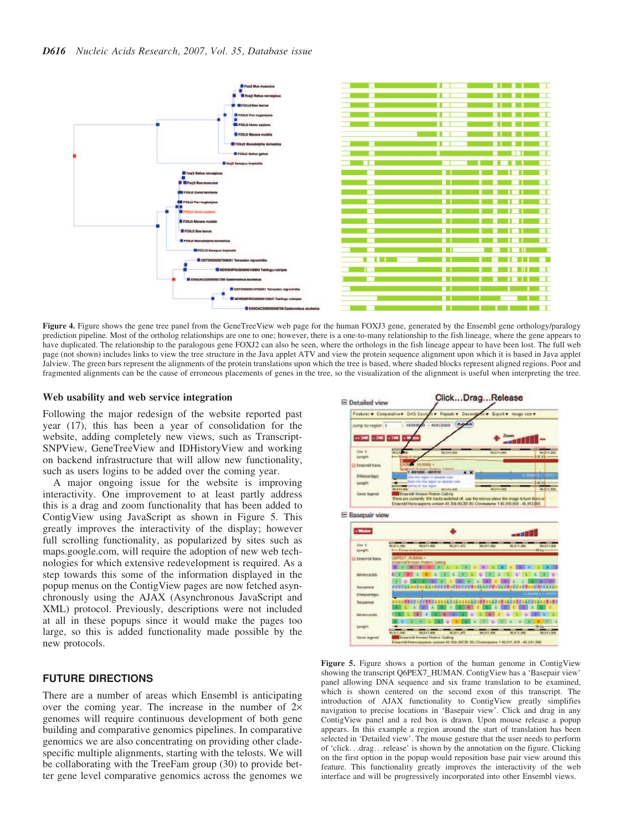![](_page_6_Figure_1.jpeg)

Figure 4. Figure shows the gene tree panel from the GeneTreeView web page for the human FOXJ3 gene, generated by the Ensembl gene orthology/paralogy prediction pipeline. Most of the ortholog relationships are one to one; however, there is a one-to-many relationship to the fish lineage, where the gene appears to have duplicated. The relationship to the paralogous gene FOXJ2 can also be seen, where the orthologs in the fish lineage appear to have been lost. The full web page (not shown) includes links to view the tree structure in the Java applet ATV and view the protein sequence alignment upon which it is based in Java applet Jalview. The green bars represent the alignments of the protein translations upon which the tree is based, where shaded blocks represent aligned regions. Poor and fragmented alignments can be the cause of erroneous placements of genes in the tree, so the visualization of the alignment is useful when interpreting the tree.

#### Web usability and web service integration

Following the major redesign of the website reported past year (17), this has been a year of consolidation for the website, adding completely new views, such as Transcript-SNPView, GeneTreeView and IDHistoryView and working on backend infrastructure that will allow new functionality, such as users logins to be added over the coming year.

A major ongoing issue for the website is improving interactivity. One improvement to at least partly address this is a drag and zoom functionality that has been added to ContigView using JavaScript as shown in Figure 5. This greatly improves the interactivity of the display; however full scrolling functionality, as popularized by sites such as maps.google.com, will require the adoption of new web technologies for which extensive redevelopment is required. As a step towards this some of the information displayed in the popup menus on the ContigView pages are now fetched asynchronously using the AJAX (Asynchronous JavaScript and XML) protocol. Previously, descriptions were not included at all in these popups since it would make the pages too large, so this is added functionality made possible by the new protocols.

#### FUTURE DIRECTIONS

There are a number of areas which Ensembl is anticipating over the coming year. The increase in the number of  $2\times$ genomes will require continuous development of both gene building and comparative genomics pipelines. In comparative genomics we are also concentrating on providing other cladespecific multiple alignments, starting with the telosts. We will be collaborating with the TreeFam group (30) to provide better gene level comparative genomics across the genomes we

![](_page_6_Figure_8.jpeg)

Figure 5. Figure shows a portion of the human genome in ContigView showing the transcript Q6PEX7\_HUMAN. ContigView has a 'Basepair view' panel allowing DNA sequence and six frame translation to be examined, which is shown centered on the second exon of this transcript. The introduction of AJAX functionality to ContigView greatly simplifies navigation to precise locations in 'Basepair view'. Click and drag in any ContigView panel and a red box is drawn. Upon mouse release a popup appears. In this example a region around the start of translation has been selected in 'Detailed view'. The mouse gesture that the user needs to perform of 'click...drag...release' is shown by the annotation on the figure. Clicking on the first option in the popup would reposition base pair view around this feature. This functionality greatly improves the interactivity of the web interface and will be progressively incorporated into other Ensembl views.